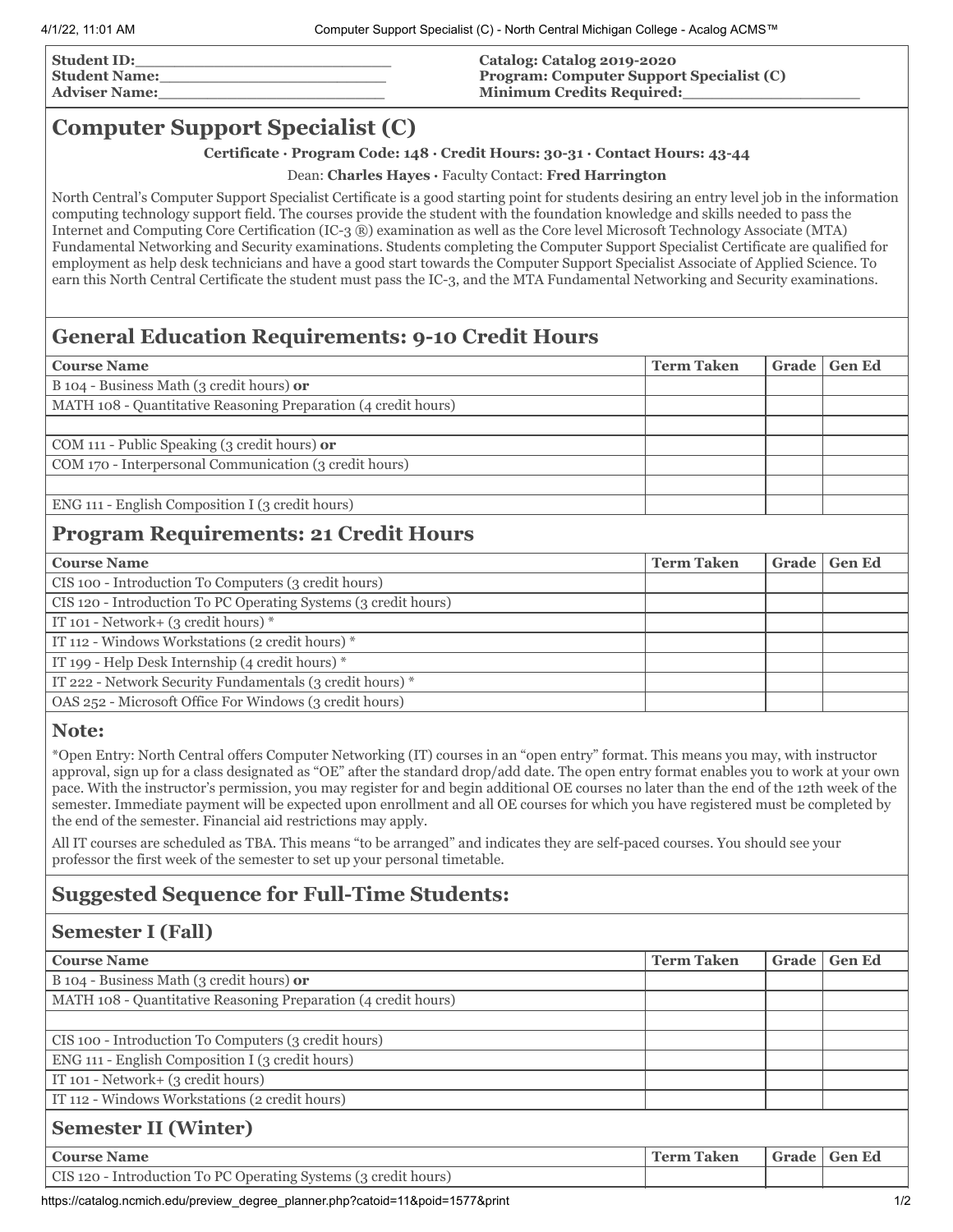| <b>Student ID:</b>   |  |
|----------------------|--|
| <b>Student Name:</b> |  |
| <b>Adviser Name:</b> |  |

#### **Catalog: Catalog 2019-2020 Program: Computer Support Specialist (C) Minimum Credits Required:\_\_\_\_\_\_\_\_\_\_\_\_\_\_\_\_\_\_**

## **Computer Support Specialist (C)**

#### **Certificate · Program Code: 148 · Credit Hours: 30-31 · Contact Hours: 43-44**

Dean: **Charles Hayes ·** Faculty Contact: **Fred Harrington**

North Central's Computer Support Specialist Certificate is a good starting point for students desiring an entry level job in the information computing technology support field. The courses provide the student with the foundation knowledge and skills needed to pass the Internet and Computing Core Certification (IC-3 ®) examination as well as the Core level Microsoft Technology Associate (MTA) Fundamental Networking and Security examinations. Students completing the Computer Support Specialist Certificate are qualified for employment as help desk technicians and have a good start towards the Computer Support Specialist Associate of Applied Science. To earn this North Central Certificate the student must pass the IC-3, and the MTA Fundamental Networking and Security examinations.

# **General Education Requirements: 9-10 Credit Hours**

| <b>Course Name</b>                                             | <b>Term Taken</b> | Grade | <b>Gen Ed</b> |
|----------------------------------------------------------------|-------------------|-------|---------------|
| B 104 - Business Math (3 credit hours) or                      |                   |       |               |
| MATH 108 - Quantitative Reasoning Preparation (4 credit hours) |                   |       |               |
|                                                                |                   |       |               |
| COM 111 - Public Speaking (3 credit hours) or                  |                   |       |               |
| COM 170 - Interpersonal Communication (3 credit hours)         |                   |       |               |
|                                                                |                   |       |               |
| ENG 111 - English Composition I (3 credit hours)               |                   |       |               |
| <b>Program Requirements: 21 Credit Hours</b>                   |                   |       |               |

| <b>Course Name</b>                                              | <b>Term Taken</b> | Grade | <b>Gen Ed</b> |
|-----------------------------------------------------------------|-------------------|-------|---------------|
| CIS 100 - Introduction To Computers (3 credit hours)            |                   |       |               |
| CIS 120 - Introduction To PC Operating Systems (3 credit hours) |                   |       |               |
| IT 101 - Network+ $(3 \text{ credit hours})$ *                  |                   |       |               |
| IT 112 - Windows Workstations (2 credit hours) *                |                   |       |               |
| IT 199 - Help Desk Internship (4 credit hours) $*$              |                   |       |               |
| IT 222 - Network Security Fundamentals (3 credit hours) *       |                   |       |               |
| OAS 252 - Microsoft Office For Windows (3 credit hours)         |                   |       |               |

#### **Note:**

\*Open Entry: North Central offers Computer Networking (IT) courses in an "open entry" format. This means you may, with instructor approval, sign up for a class designated as "OE" after the standard drop/add date. The open entry format enables you to work at your own pace. With the instructor's permission, you may register for and begin additional OE courses no later than the end of the 12th week of the semester. Immediate payment will be expected upon enrollment and all OE courses for which you have registered must be completed by the end of the semester. Financial aid restrictions may apply.

All IT courses are scheduled as TBA. This means "to be arranged" and indicates they are self-paced courses. You should see your professor the first week of the semester to set up your personal timetable.

## **Suggested Sequence for Full-Time Students:**

### **Semester I (Fall)**

| <b>Course Name</b>                                              | <b>Term Taken</b> | Grade | <b>Gen Ed</b> |  |
|-----------------------------------------------------------------|-------------------|-------|---------------|--|
| B 104 - Business Math (3 credit hours) or                       |                   |       |               |  |
| MATH 108 - Quantitative Reasoning Preparation (4 credit hours)  |                   |       |               |  |
|                                                                 |                   |       |               |  |
| CIS 100 - Introduction To Computers (3 credit hours)            |                   |       |               |  |
| ENG 111 - English Composition I (3 credit hours)                |                   |       |               |  |
| IT 101 - Network+ (3 credit hours)                              |                   |       |               |  |
| IT 112 - Windows Workstations (2 credit hours)                  |                   |       |               |  |
| <b>Semester II (Winter)</b>                                     |                   |       |               |  |
| <b>Course Name</b>                                              | <b>Term Taken</b> | Grade | <b>Gen Ed</b> |  |
| CIS 120 - Introduction To PC Operating Systems (3 credit hours) |                   |       |               |  |